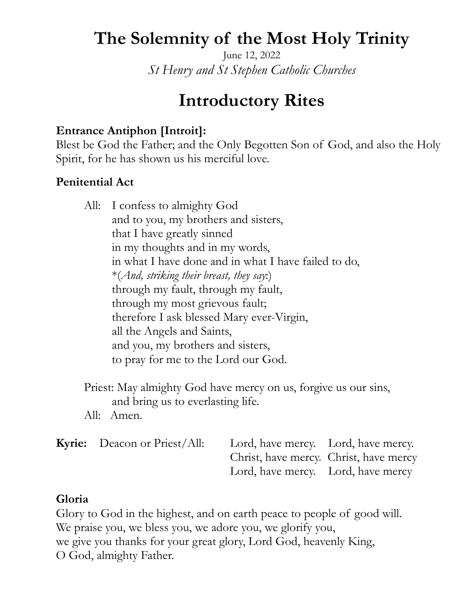# **The Solemnity of the Most Holy Trinity**

June 12, 2022 *St Henry and St Stephen Catholic Churches* 

# **Introductory Rites**

## **Entrance Antiphon [Introit]:**

Blest be God the Father; and the Only Begotten Son of God, and also the Holy Spirit, for he has shown us his merciful love.

#### **Penitential Act**

|  | All: I confess to almighty God                       |
|--|------------------------------------------------------|
|  | and to you, my brothers and sisters,                 |
|  | that I have greatly sinned                           |
|  | in my thoughts and in my words,                      |
|  | in what I have done and in what I have failed to do, |
|  | *(And, striking their breast, they say:)             |
|  | through my fault, through my fault,                  |
|  | through my most grievous fault;                      |
|  | therefore I ask blessed Mary ever-Virgin,            |
|  | all the Angels and Saints,                           |
|  | and you, my brothers and sisters,                    |
|  | to pray for me to the Lord our God.                  |
|  |                                                      |

 Priest: May almighty God have mercy on us, forgive us our sins, and bring us to everlasting life.

All: Amen.

| <b>Kyrie:</b> Deacon or Priest/All: | Lord, have mercy. Lord, have mercy.    |  |
|-------------------------------------|----------------------------------------|--|
|                                     | Christ, have mercy. Christ, have mercy |  |
|                                     | Lord, have mercy. Lord, have mercy     |  |

#### **Gloria**

Glory to God in the highest, and on earth peace to people of good will. We praise you, we bless you, we adore you, we glorify you, we give you thanks for your great glory, Lord God, heavenly King, O God, almighty Father.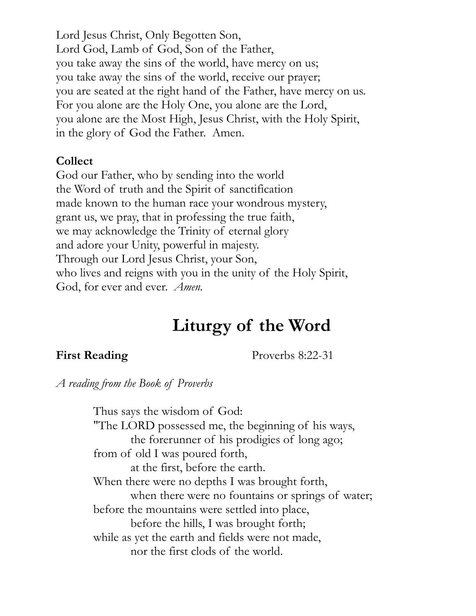Lord Jesus Christ, Only Begotten Son, Lord God, Lamb of God, Son of the Father, you take away the sins of the world, have mercy on us; you take away the sins of the world, receive our prayer; you are seated at the right hand of the Father, have mercy on us. For you alone are the Holy One, you alone are the Lord, you alone are the Most High, Jesus Christ, with the Holy Spirit, in the glory of God the Father. Amen.

#### **Collect**

God our Father, who by sending into the world the Word of truth and the Spirit of sanctification made known to the human race your wondrous mystery, grant us, we pray, that in professing the true faith, we may acknowledge the Trinity of eternal glory and adore your Unity, powerful in majesty. Through our Lord Jesus Christ, your Son, who lives and reigns with you in the unity of the Holy Spirit, God, for ever and ever. *Amen.* 

# **Liturgy of the Word**

**First Reading** Proverbs 8:22-31

*A reading from the Book of Proverbs* 

 Thus says the wisdom of God: "The LORD possessed me, the beginning of his ways, the forerunner of his prodigies of long ago; from of old I was poured forth, at the first, before the earth. When there were no depths I was brought forth, when there were no fountains or springs of water; before the mountains were settled into place, before the hills, I was brought forth; while as yet the earth and fields were not made, nor the first clods of the world.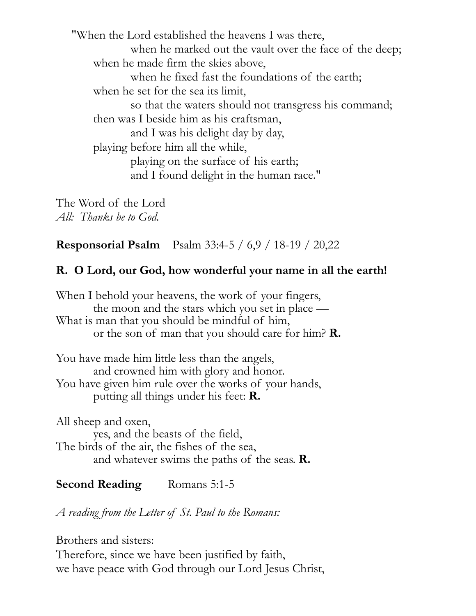"When the Lord established the heavens I was there, when he marked out the vault over the face of the deep; when he made firm the skies above, when he fixed fast the foundations of the earth; when he set for the sea its limit, so that the waters should not transgress his command; then was I beside him as his craftsman, and I was his delight day by day, playing before him all the while, playing on the surface of his earth; and I found delight in the human race."

The Word of the Lord *All: Thanks be to God.* 

**Responsorial Psalm** Psalm 33:4-5 / 6,9 / 18-19 / 20,22

#### **R. O Lord, our God, how wonderful your name in all the earth!**

When I behold your heavens, the work of your fingers, the moon and the stars which you set in place — What is man that you should be mindful of him, or the son of man that you should care for him? **R.**

You have made him little less than the angels, and crowned him with glory and honor. You have given him rule over the works of your hands, putting all things under his feet: **R.**

All sheep and oxen, yes, and the beasts of the field, The birds of the air, the fishes of the sea, and whatever swims the paths of the seas. **R.**

## **Second Reading** Romans 5:1-5

*A reading from the Letter of St. Paul to the Romans:* 

Brothers and sisters:

Therefore, since we have been justified by faith, we have peace with God through our Lord Jesus Christ,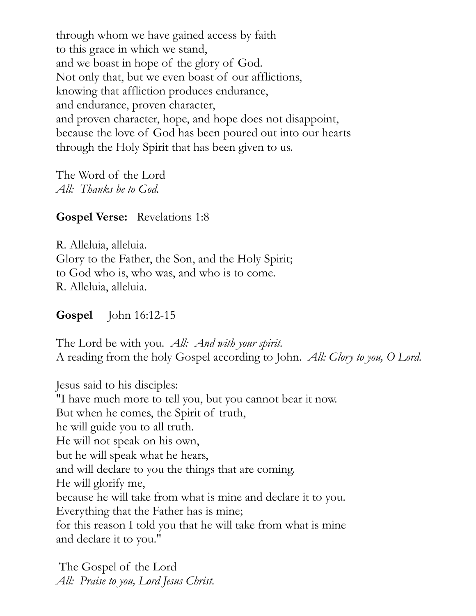through whom we have gained access by faith to this grace in which we stand, and we boast in hope of the glory of God. Not only that, but we even boast of our afflictions, knowing that affliction produces endurance, and endurance, proven character, and proven character, hope, and hope does not disappoint, because the love of God has been poured out into our hearts through the Holy Spirit that has been given to us.

The Word of the Lord *All: Thanks be to God.* 

#### **Gospel Verse:** Revelations 1:8

R. Alleluia, alleluia. Glory to the Father, the Son, and the Holy Spirit; to God who is, who was, and who is to come. R. Alleluia, alleluia.

#### **Gospel** John 16:12-15

The Lord be with you. *All: And with your spirit.*  A reading from the holy Gospel according to John. *All: Glory to you, O Lord.* 

Jesus said to his disciples: "I have much more to tell you, but you cannot bear it now. But when he comes, the Spirit of truth, he will guide you to all truth. He will not speak on his own, but he will speak what he hears, and will declare to you the things that are coming. He will glorify me, because he will take from what is mine and declare it to you. Everything that the Father has is mine; for this reason I told you that he will take from what is mine and declare it to you."

The Gospel of the Lord *All: Praise to you, Lord Jesus Christ.*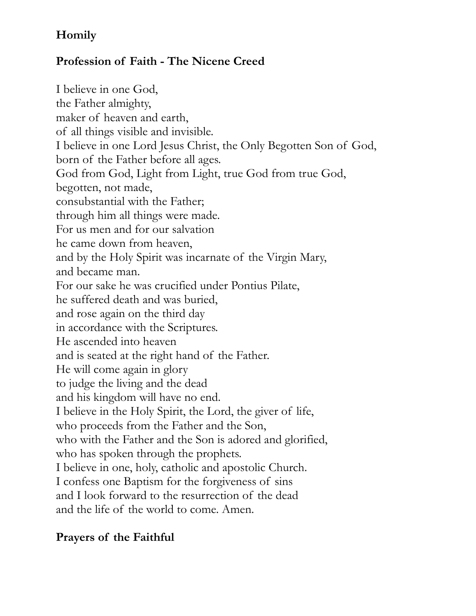# **Homily**

# **Profession of Faith - The Nicene Creed**

I believe in one God, the Father almighty, maker of heaven and earth, of all things visible and invisible. I believe in one Lord Jesus Christ, the Only Begotten Son of God, born of the Father before all ages. God from God, Light from Light, true God from true God, begotten, not made, consubstantial with the Father; through him all things were made. For us men and for our salvation he came down from heaven, and by the Holy Spirit was incarnate of the Virgin Mary, and became man. For our sake he was crucified under Pontius Pilate, he suffered death and was buried, and rose again on the third day in accordance with the Scriptures. He ascended into heaven and is seated at the right hand of the Father. He will come again in glory to judge the living and the dead and his kingdom will have no end. I believe in the Holy Spirit, the Lord, the giver of life, who proceeds from the Father and the Son, who with the Father and the Son is adored and glorified, who has spoken through the prophets. I believe in one, holy, catholic and apostolic Church. I confess one Baptism for the forgiveness of sins and I look forward to the resurrection of the dead and the life of the world to come. Amen.

## **Prayers of the Faithful**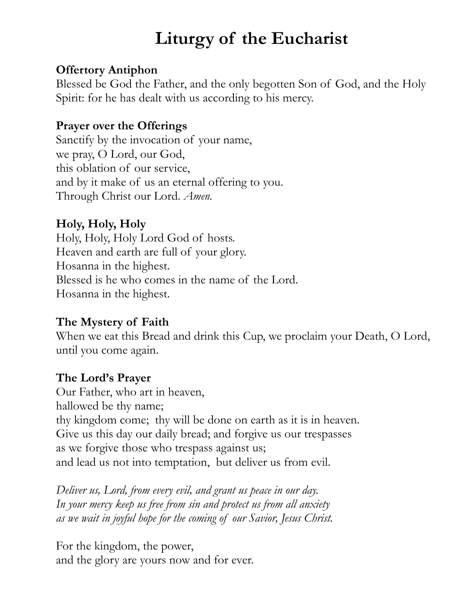# **Liturgy of the Eucharist**

## **Offertory Antiphon**

Blessed be God the Father, and the only begotten Son of God, and the Holy Spirit: for he has dealt with us according to his mercy.

#### **Prayer over the Offerings**

Sanctify by the invocation of your name, we pray, O Lord, our God, this oblation of our service, and by it make of us an eternal offering to you. Through Christ our Lord. *Amen.*

# **Holy, Holy, Holy**

Holy, Holy, Holy Lord God of hosts. Heaven and earth are full of your glory. Hosanna in the highest. Blessed is he who comes in the name of the Lord. Hosanna in the highest.

## **The Mystery of Faith**

When we eat this Bread and drink this Cup, we proclaim your Death, O Lord, until you come again.

## **The Lord's Prayer**

Our Father, who art in heaven, hallowed be thy name; thy kingdom come; thy will be done on earth as it is in heaven. Give us this day our daily bread; and forgive us our trespasses as we forgive those who trespass against us; and lead us not into temptation, but deliver us from evil.

*Deliver us, Lord, from every evil, and grant us peace in our day. In your mercy keep us free from sin and protect us from all anxiety as we wait in joyful hope for the coming of our Savior, Jesus Christ.* 

For the kingdom, the power, and the glory are yours now and for ever.